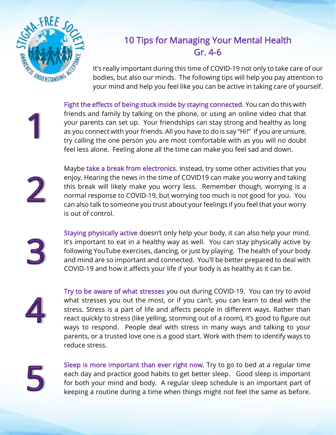

## 10 Tips for Managing Your Mental Health Gr. 4-6

It's really important during this time of COVID-19 not only to take care of our bodies, but also our minds. The following tips will help you pay attention to your mind and help you feel like you can be active in taking care of yourself.

Fight the effects of being stuck inside by staying connected. You can do this with friends and family by talking on the phone, or using an online video chat that your parents can set up. Your friendships can stay strong and healthy as long as you connect with your friends. All you have to do is say "Hi!" If you are unsure, try calling the one person you are most comfortable with as you will no doubt feel less alone. Feeling alone all the time can make you feel sad and down.



Maybe take a break from electronics. Instead, try some other activities that you enjoy. Hearing the news in the time of COVID19 can make you worry and taking this break will likely make you worry less. Remember though, worrying is a normal response to COVID-19, but worrying too much is not good for you. You can also talk to someone you trust about your feelings if you feel that your worry is out of control.



Staying physically active doesn't only help your body, it can also help your mind. It's important to eat in a healthy way as well. You can stay physically active by following YouTube exercises, dancing, or just by playing. The health of your body and mind are so important and connected. You'll be better prepared to deal with COVID-19 and how it affects your life if your body is as healthy as it can be.



Try to be aware of what stresses you out during COVID-19. You can try to avoid what stresses you out the most, or if you can't, you can learn to deal with the stress. Stress is a part of life and affects people in different ways. Rather than react quickly to stress (like yelling, storming out of a room), it's good to figure out ways to respond. People deal with stress in many ways and talking to your parents, or a trusted love one is a good start. Work with them to identify ways to reduce stress.



Sleep is more important than ever right now. Try to go to bed at a regular time each day and practice good habits to get better sleep. Good sleep is important for both your mind and body. A regular sleep schedule is an important part of keeping a routine during a time when things might not feel the same as before.